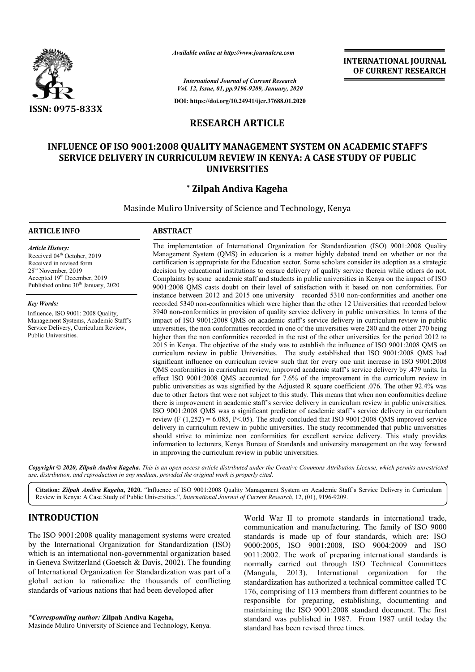

*Available online at http://www.journalcra.com*

**INTERNATIONAL JOURNAL OF CURRENT RESEARCH**

*International Journal of Current Research Vol. 12, Issue, 01, pp.9196-9209, January, 2020*

**DOI: https://doi.org/10.24941/ijcr.37688.01.2020**

# **RESEARCH ARTICLE**

# **INFLUENCE OF ISO 9001:2008 QUALITY MANAGEMENT SYSTEM ON ACADEMIC STAFF'S**  SERVICE DELIVERY IN CURRICULUM REVIEW IN KENYA: A CASE STUDY OF PUBLIC<br>UNIVERSITIES

# **\* Zilpah Andiva Kageha**

Masinde Muliro University of Science and Technology, Kenya

# **ARTICLE INFO ABSTRACT**

Public Universities.

*Article History:* Received 04<sup>th</sup> October, 2019 Received in revised form 28th November, 2019 Accepted 19<sup>th</sup> December, 2019 Published online 30<sup>th</sup> January, 2020

*Key Words:* Influence, ISO 9001: 2008 Quality, Management Systems, Academic Staff's Service Delivery, Curriculum Review,

The implementation of International Organization for Standardization (ISO) 9001:2008 Quality Management System (QMS) in education is a matter highly debated trend on whether or not the certification is appropriate for the Education sector. Some scholars consider its adoption as a strategic decision by educational institutions to ensure delivery of quality service therein while others do not. Complaints by some academic staff and students in public universities in Kenya on the impact of ISO 9001:2008 QMS casts doubt on their level of satisfaction with it based on non conformities. For instance between 2012 and 2015 one university recorded 5310 non-conformities and another one recorded 5340 non-conformities which were higher than the other 12 Universities that recorded below 3940 non-conformities in provision of quality service delivery in public universities. In terms of the impact of ISO 9001:2008 QMS on academic staff's service delivery in curriculum review in public universities, the non conformities recorded in one of the universities were 280 and the other 270 being higher than the non conformities recorded in the rest of the other universities for the period 2012 to 3940 non-conformities in provision of quality service delivery in public universities. In terms of the impact of ISO 9001:2008 QMS on academic staff's service delivery in curriculum review in public universities, the non c curriculum review in public Universities. The study established that ISO 9001:2008 QMS had significant influence on curriculum review such that for every one unit increase in ISO 9001:2008 QMS conformities in curriculum review, improved academic staff's service delivery by .479 units. In effect ISO 9001:2008 QMS accounted for 7.6% of the improvement in the curriculum review in public universities as was signified by the Adjusted R square coefficient .076. The other 92.4% was due to other factors that were not subject to this study. This means that when non conformities decline there is improvement in academic staff's service delivery in curriculum review in public universities. ISO 9001:2008 QMS was a significant predictor of academic staff's serv review (F  $(1,252) = 6.085$ , P<.05). The study concluded that ISO 9001:2008 QMS improved service delivery in curriculum review in public universities. The study recommended that public universities should strive to minimize non con conformities for excellent service delivery. This study provides review (F  $(1,252) = 6.085$ , P<.05). The study concluded that ISO 9001:2008 QMS improved service<br>delivery in curriculum review in public universities. The study recommended that public universities<br>should strive to minimiz in improving the curriculum review in public universities. The implementation of International Organization for Standardization (ISO) 9001:2008 Quality Management System (QMS) in education is a matter highly debated trend on whether or not the certification is appropriate for the decision by educational institutions to ensure delivery of quality service therein while others do not.<br>Complaints by some academic staff and students in public universities in Kenya on the impact of ISO<br>9001:2008 QMS cast curriculum review in public Universities. The study established that ISO 9001:2008 QMS had significant influence on curriculum review such that for every one unit increase in ISO 9001:2008 QMS conformities in curriculum re INTEENATIONAL JOURNAL<br> **IDENTIFY CONTRAL CONTIFY CONTIFY CONTRAL CONTIFY (SPACE AND 1.3020)**<br>
11.3020<br>
11.3020<br>
11.3020<br>
11.3020<br>
11.3020<br>
12.3020<br>
12.3020<br>
12.3020<br>
12.3020<br>
12.3020<br>
12.3020<br>
12.3020<br>
12.3020<br>
12.3020<br>
12

Copyright © 2020, Zilpah Andiva Kageha. This is an open access article distributed under the Creative Commons Attribution License, which permits unrestricted *use, distribution, and reproduction in any medium, provided the original work is properly cited.*

Citation: Zilpah Andiva Kageha, 2020. "Influence of ISO 9001:2008 Quality Management System on Academic Staff's Service Delivery in Curriculum Citation: Zilpah Andiva Kageha, 2020. "Influence of ISO 9001:2008 Quality Management System on Academic Sta<br>Review in Kenya: A Case Study of Public Universities.", *International Journal of Current Research*, 12, (01), 919

# **INTRODUCTION**

The ISO 9001:2008 quality management systems were created by the International Organization for Standardization (ISO) which is an international non-governmental organization based in Geneva Switzerland (Goetsch & Davis, 2002). The founding of International Organization for Standardization was part of a global action to rationalize the thousands of conflicting standards of various nations that had been developed after

*\*Corresponding author:* **Zilpah Andiva Kageha Kageha,** Masinde Muliro University of Science and Technology, Kenya. World War II to promote standards in international trade, communication and manufacturing. The family of ISO 9000 standards is made up of four standards, which are: ISO 9000:2005, ISO 9001:2008, ISO 9004:2009 and ISO 9011:2002. The work of preparing international standards is normally carried out through ISO Technical Committees (Mangula, 2013). International organization for the standardization has authorized a technical committee called TC 176, comprising of 113 members from different countries to be responsible for preparing, establishing, documenting and maintaining the ISO 9001:2008 standard document. The first standard was published in 1987. From 1987 until today the standard has been revised three times. istandards in international trade, ation and manufacturing. The family of ISO 9000<br>is made up of four standards, which are: ISO<br>, ISO 9001:2008, ISO 9004:2009 and ISO<br>. The work of preparing international standards is<br>carr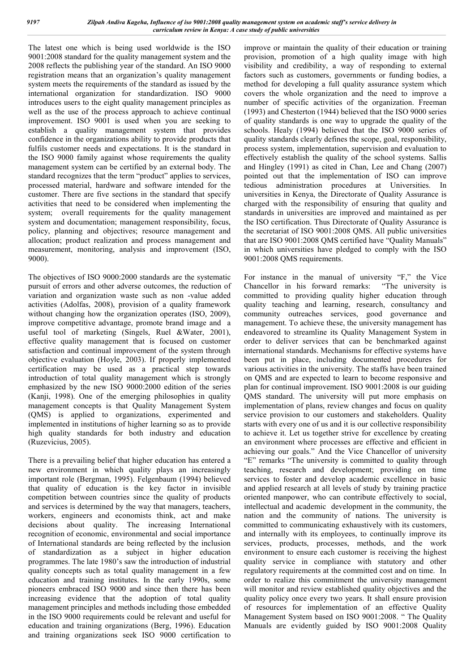The latest one which is being used worldwide is the ISO 9001:2008 standard for the quality management system and the 2008 reflects the publishing year of the standard. An ISO 9000 registration means that an organization's quality management system meets the requirements of the standard as issued by the international organization for standardization. ISO 9000 introduces users to the eight quality management principles as well as the use of the process approach to achieve continual improvement. ISO 9001 is used when you are seeking to establish a quality management system that provides confidence in the organizations ability to provide products that fulfils customer needs and expectations. It is the standard in the ISO 9000 family against whose requirements the quality management system can be certified by an external body. The standard recognizes that the term "product" applies to services, processed material, hardware and software intended for the customer. There are five sections in the standard that specify activities that need to be considered when implementing the system; overall requirements for the quality management system and documentation; management responsibility, focus, policy, planning and objectives; resource management and allocation; product realization and process management and measurement, monitoring, analysis and improvement (ISO, 9000).

The objectives of ISO 9000:2000 standards are the systematic pursuit of errors and other adverse outcomes, the reduction of variation and organization waste such as non -value added activities (Adolfas, 2008), provision of a quality framework without changing how the organization operates (ISO, 2009), improve competitive advantage, promote brand image and a useful tool of marketing (Singels, Ruel &Water, 2001), effective quality management that is focused on customer satisfaction and continual improvement of the system through objective evaluation (Hoyle, 2003). If properly implemented certification may be used as a practical step towards introduction of total quality management which is strongly emphasized by the new ISO 9000:2000 edition of the series (Kanji, 1998). One of the emerging philosophies in quality management concepts is that Quality Management System (QMS) is applied to organizations, experimented and implemented in institutions of higher learning so as to provide high quality standards for both industry and education (Ruzevicius, 2005).

There is a prevailing belief that higher education has entered a new environment in which quality plays an increasingly important role (Bergman, 1995). Felgenbaum (1994) believed that quality of education is the key factor in invisible competition between countries since the quality of products and services is determined by the way that managers, teachers, workers, engineers and economists think, act and make decisions about quality. The increasing International recognition of economic, environmental and social importance of International standards are being reflected by the inclusion of standardization as a subject in higher education programmes. The late 1980's saw the introduction of industrial quality concepts such as total quality management in a few education and training institutes. In the early 1990s, some pioneers embraced ISO 9000 and since then there has been increasing evidence that the adoption of total quality management principles and methods including those embedded in the ISO 9000 requirements could be relevant and useful for education and training organizations (Berg, 1996). Education and training organizations seek ISO 9000 certification to

improve or maintain the quality of their education or training provision, promotion of a high quality image with high visibility and credibility, a way of responding to external factors such as customers, governments or funding bodies, a method for developing a full quality assurance system which covers the whole organization and the need to improve a number of specific activities of the organization. Freeman (1993) and Chesterton (1944) believed that the ISO 9000 series of quality standards is one way to upgrade the quality of the schools. Healy (1994) believed that the ISO 9000 series of quality standards clearly defines the scope, goal, responsibility, process system, implementation, supervision and evaluation to effectively establish the quality of the school systems. Sallis and Hingley (1991) as cited in Chan, Lee and Chang (2007) pointed out that the implementation of ISO can improve tedious administration procedures at Universities. In universities in Kenya, the Directorate of Quality Assurance is charged with the responsibility of ensuring that quality and standards in universities are improved and maintained as per the ISO certification. Thus Directorate of Quality Assurance is the secretariat of ISO 9001:2008 QMS. All public universities that are ISO 9001:2008 QMS certified have "Quality Manuals" in which universities have pledged to comply with the ISO 9001:2008 QMS requirements.

For instance in the manual of university "F," the Vice Chancellor in his forward remarks: "The university is committed to providing quality higher education through quality teaching and learning, research, consultancy and community outreaches services, good governance and management. To achieve these, the university management has endeavored to streamline its Quality Management System in order to deliver services that can be benchmarked against international standards. Mechanisms for effective systems have been put in place, including documented procedures for various activities in the university. The staffs have been trained on QMS and are expected to learn to become responsive and plan for continual improvement. ISO 9001:2008 is our guiding QMS standard. The university will put more emphasis on implementation of plans, review changes and focus on quality service provision to our customers and stakeholders. Quality starts with every one of us and it is our collective responsibility to achieve it. Let us together strive for excellence by creating an environment where processes are effective and efficient in achieving our goals." And the Vice Chancellor of university "E" remarks "The university is committed to quality through teaching, research and development; providing on time services to foster and develop academic excellence in basic and applied research at all levels of study by training practice oriented manpower, who can contribute effectively to social, intellectual and academic development in the community, the nation and the community of nations. The university is committed to communicating exhaustively with its customers, and internally with its employees, to continually improve its services, products, processes, methods, and the work environment to ensure each customer is receiving the highest quality service in compliance with statutory and other regulatory requirements at the committed cost and on time. In order to realize this commitment the university management will monitor and review established quality objectives and the quality policy once every two years. It shall ensure provision of resources for implementation of an effective Quality Management System based on ISO 9001:2008. " The Quality Manuals are evidently guided by ISO 9001:2008 Quality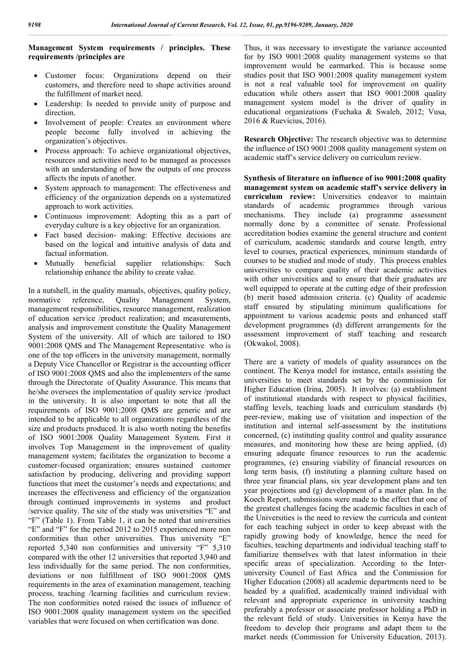# **Management System requirements / principles. These requirements /principles are**

- Customer focus: Organizations depend on their customers, and therefore need to shape activities around the fulfillment of market need.
- Leadership: Is needed to provide unity of purpose and direction.
- Involvement of people: Creates an environment where people become fully involved in achieving the organization's objectives.
- Process approach: To achieve organizational objectives, resources and activities need to be managed as processes with an understanding of how the outputs of one process affects the inputs of another.
- System approach to management: The effectiveness and efficiency of the organization depends on a systematized approach to work activities.
- Continuous improvement: Adopting this as a part of everyday culture is a key objective for an organization.
- Fact based decision- making: Effective decisions are based on the logical and intuitive analysis of data and factual information.
- Mutually beneficial supplier relationships: Such relationship enhance the ability to create value.

In a nutshell, in the quality manuals, objectives, quality policy, normative reference, Quality Management System, management responsibilities, resource management, realization of education service /product realization; and measurements, analysis and improvement constitute the Quality Management System of the university. All of which are tailored to ISO 9001:2008 QMS and The Management Representative who is one of the top officers in the university management, normally a Deputy Vice Chancellor or Registrar is the accounting officer of ISO 9001:2008 QMS and also the implementers of the same through the Directorate of Quality Assurance. This means that he/she oversees the implementation of quality service /product in the university. It is also important to note that all the requirements of ISO 9001:2008 QMS are generic and are intended to be applicable to all organizations regardless of the size and products produced. It is also worth noting the benefits of ISO 9001:2008 Quality Management System. First it involves Top Management in the improvement of quality management system; facilitates the organization to become a customer-focused organization; ensures sustained customer satisfaction by producing, delivering and providing support functions that meet the customer's needs and expectations; and increases the effectiveness and efficiency of the organization through continued improvements in systems and product /service quality. The site of the study was universities "E" and "F" (Table 1). From Table 1, it can be noted that universities "E" and "F" for the period 2012 to 2015 experienced more non conformities than other universities. Thus university "E" reported 5,340 non conformities and university "F" 5,310 compared with the other 12 universities that reported 3,940 and less individually for the same period. The non conformities, deviations or non fulfillment of ISO 9001:2008 QMS requirements in the area of examination management, teaching process, teaching /learning facilities and curriculum review. The non conformities noted raised the issues of influence of ISO 9001:2008 quality management system on the specified variables that were focused on when certification was done.

Thus, it was necessary to investigate the variance accounted for by ISO 9001:2008 quality management systems so that improvement would be earmarked. This is because some studies posit that ISO 9001:2008 quality management system is not a real valuable tool for improvement on quality education while others assert that ISO 9001:2008 quality management system model is the driver of quality in educational organizations (Fuchaka & Swaleh, 2012; Vusa, 2016 & Ruevicius, 2016).

**Research Objective:** The research objective was to determine the influence of ISO 9001:2008 quality management system on academic staff's service delivery on curriculum review.

**Synthesis of literature on influence of iso 9001:2008 quality management system on academic staff's service delivery in curriculum review:** Universities endeavor to maintain standards of academic programmes through various mechanisms. They include (a) programme assessment normally done by a committee of senate. Professional accreditation bodies examine the general structure and content of curriculum, academic standards and course length, entry level to courses, practical experiences, minimum standards of courses to be studied and mode of study. This process enables universities to compare quality of their academic activities with other universities and to ensure that their graduates are well equipped to operate at the cutting edge of their profession (b) merit based admission criteria. (c) Quality of academic staff ensured by stipulating minimum qualifications for appointment to various academic posts and enhanced staff development programmes (d) different arrangements for the assessment improvement of staff teaching and research (Okwakol, 2008).

There are a variety of models of quality assurances on the continent. The Kenya model for instance, entails assisting the universities to meet standards set by the commission for Higher Education (Irina, 2005). It involves: (a) establishment of institutional standards with respect to physical facilities, staffing levels, teaching loads and curriculum standards (b) peer-review, making use of visitation and inspection of the institution and internal self-assessment by the institutions concerned, (c) instituting quality control and quality assurance measures, and monitoring how these are being applied, (d) ensuring adequate finance resources to run the academic programmes, (e) ensuring viability of financial resources on long term basis, (f) instituting a planning culture based on three year financial plans, six year development plans and ten year projections and (g) development of a master plan. In the Koech Report, submissions were made to the effect that one of the greatest challenges facing the academic faculties in each of the Universities is the need to review the curricula and content for each teaching subject in order to keep abreast with the rapidly growing body of knowledge, hence the need for faculties, teaching departments and individual teaching staff to familiarize themselves with that latest information in their specific areas of specialization. According to the Interuniversity Council of East Africa and the Commission for Higher Education (2008) all academic departments need to be headed by a qualified, academically trained individual with relevant and appropriate experience in university teaching preferably a professor or associate professor holding a PhD in the relevant field of study. Universities in Kenya have the freedom to develop their programs and adapt them to the market needs (Commission for University Education, 2013).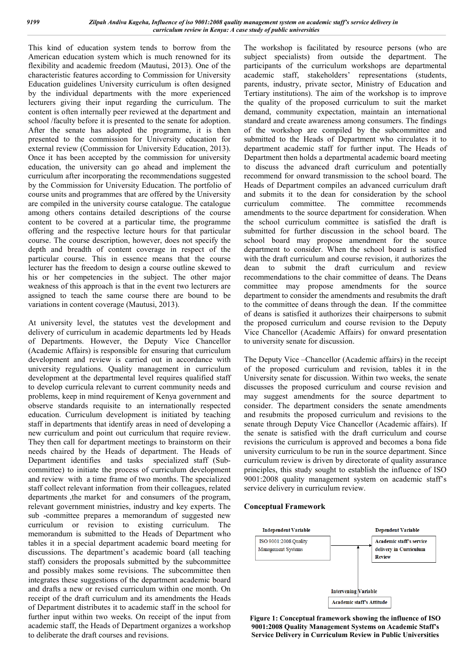This kind of education system tends to borrow from the American education system which is much renowned for its flexibility and academic freedom (Mautusi, 2013). One of the characteristic features according to Commission for University Education guidelines University curriculum is often designed by the individual departments with the more experienced lecturers giving their input regarding the curriculum. The content is often internally peer reviewed at the department and school /faculty before it is presented to the senate for adoption. After the senate has adopted the programme, it is then presented to the commission for University education for external review (Commission for University Education, 2013). Once it has been accepted by the commission for university education, the university can go ahead and implement the curriculum after incorporating the recommendations suggested by the Commission for University Education. The portfolio of course units and programmes that are offered by the University are compiled in the university course catalogue. The catalogue among others contains detailed descriptions of the course content to be covered at a particular time, the programme offering and the respective lecture hours for that particular course. The course description, however, does not specify the depth and breadth of content coverage in respect of the particular course. This in essence means that the course lecturer has the freedom to design a course outline skewed to his or her competencies in the subject. The other major weakness of this approach is that in the event two lecturers are assigned to teach the same course there are bound to be variations in content coverage (Mautusi, 2013).

At university level, the statutes vest the development and delivery of curriculum in academic departments led by Heads of Departments. However, the Deputy Vice Chancellor (Academic Affairs) is responsible for ensuring that curriculum development and review is carried out in accordance with university regulations. Quality management in curriculum development at the departmental level requires qualified staff to develop curricula relevant to current community needs and problems, keep in mind requirement of Kenya government and observe standards requisite to an internationally respected education. Curriculum development is initiated by teaching staff in departments that identify areas in need of developing a new curriculum and point out curriculum that require review. They then call for department meetings to brainstorm on their needs chaired by the Heads of department. The Heads of Department identifies and tasks specialized staff (Subcommittee) to initiate the process of curriculum development and review with a time frame of two months. The specialized staff collect relevant information from their colleagues, related departments ,the market for and consumers of the program, relevant government ministries, industry and key experts. The sub -committee prepares a memorandum of suggested new curriculum or revision to existing curriculum. The memorandum is submitted to the Heads of Department who tables it in a special department academic board meeting for discussions. The department's academic board (all teaching staff) considers the proposals submitted by the subcommittee and possibly makes some revisions. The subcommittee then integrates these suggestions of the department academic board and drafts a new or revised curriculum within one month. On receipt of the draft curriculum and its amendments the Heads of Department distributes it to academic staff in the school for further input within two weeks. On receipt of the input from academic staff, the Heads of Department organizes a workshop to deliberate the draft courses and revisions.

The workshop is facilitated by resource persons (who are subject specialists) from outside the department. The participants of the curriculum workshops are departmental academic staff, stakeholders' representations (students, parents, industry, private sector, Ministry of Education and Tertiary institutions). The aim of the workshop is to improve the quality of the proposed curriculum to suit the market demand, community expectation, maintain an international standard and create awareness among consumers. The findings of the workshop are compiled by the subcommittee and submitted to the Heads of Department who circulates it to department academic staff for further input. The Heads of Department then holds a departmental academic board meeting to discuss the advanced draft curriculum and potentially recommend for onward transmission to the school board. The Heads of Department compiles an advanced curriculum draft and submits it to the dean for consideration by the school curriculum committee. The committee recommends amendments to the source department for consideration. When the school curriculum committee is satisfied the draft is submitted for further discussion in the school board. The school board may propose amendment for the source department to consider. When the school board is satisfied with the draft curriculum and course revision, it authorizes the dean to submit the draft curriculum and review recommendations to the chair committee of deans. The Deans committee may propose amendments for the source department to consider the amendments and resubmits the draft to the committee of deans through the dean. If the committee of deans is satisfied it authorizes their chairpersons to submit the proposed curriculum and course revision to the Deputy Vice Chancellor (Academic Affairs) for onward presentation to university senate for discussion.

The Deputy Vice –Chancellor (Academic affairs) in the receipt of the proposed curriculum and revision, tables it in the University senate for discussion. Within two weeks, the senate discusses the proposed curriculum and course revision and may suggest amendments for the source department to consider. The department considers the senate amendments and resubmits the proposed curriculum and revisions to the senate through Deputy Vice Chancellor (Academic affairs). If the senate is satisfied with the draft curriculum and course revisions the curriculum is approved and becomes a bona fide university curriculum to be run in the source department. Since curriculum review is driven by directorate of quality assurance principles, this study sought to establish the influence of ISO 9001:2008 quality management system on academic staff's service delivery in curriculum review.

#### **Conceptual Framework**



**Figure 1: Conceptual framework showing the influence of ISO 9001:2008 Quality Management Systems on Academic Staff's Service Delivery in Curriculum Review in Public Universities**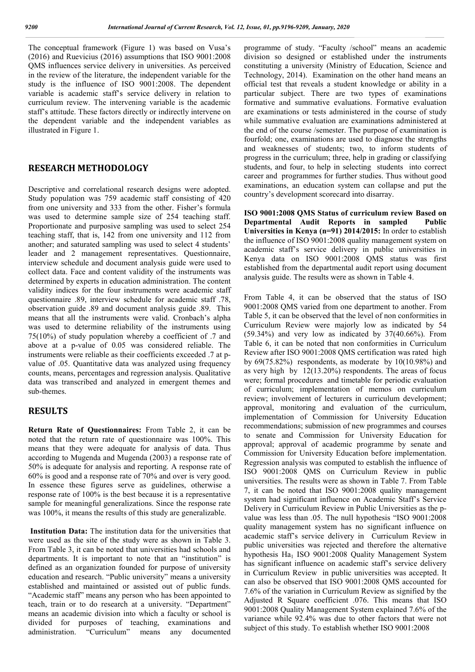The conceptual framework (Figure 1) was based on Vusa's (2016) and Ruevicius (2016) assumptions that ISO 9001:2008 QMS influences service delivery in universities. As perceived in the review of the literature, the independent variable for the study is the influence of ISO 9001:2008. The dependent variable is academic staff's service delivery in relation to curriculum review. The intervening variable is the academic staff's attitude. These factors directly or indirectly intervene on the dependent variable and the independent variables as illustrated in Figure 1.

# **RESEARCH METHODOLOGY**

Descriptive and correlational research designs were adopted. Study population was 759 academic staff consisting of 420 from one university and 333 from the other. Fisher's formula was used to determine sample size of 254 teaching staff. Proportionate and purposive sampling was used to select 254 teaching staff, that is, 142 from one university and 112 from another; and saturated sampling was used to select 4 students' leader and 2 management representatives. Questionnaire, interview schedule and document analysis guide were used to collect data. Face and content validity of the instruments was determined by experts in education administration. The content validity indices for the four instruments were academic staff questionnaire .89, interview schedule for academic staff .78, observation guide .89 and document analysis guide .89. This means that all the instruments were valid. Cronbach's alpha was used to determine reliability of the instruments using 75(10%) of study population whereby a coefficient of .7 and above at a p-value of 0.05 was considered reliable. The instruments were reliable as their coefficients exceeded .7 at pvalue of .05. Quantitative data was analyzed using frequency counts, means, percentages and regression analysis. Qualitative data was transcribed and analyzed in emergent themes and sub-themes.

# **RESULTS**

**Return Rate of Questionnaires:** From Table 2, it can be noted that the return rate of questionnaire was 100%. This means that they were adequate for analysis of data. Thus according to Mugenda and Mugenda (2003) a response rate of 50% is adequate for analysis and reporting. A response rate of 60% is good and a response rate of 70% and over is very good. In essence these figures serve as guidelines, otherwise a response rate of 100% is the best because it is a representative sample for meaningful generalizations. Since the response rate was 100%, it means the results of this study are generalizable.

**Institution Data:** The institution data for the universities that were used as the site of the study were as shown in Table 3. From Table 3, it can be noted that universities had schools and departments. It is important to note that an "institution" is defined as an organization founded for purpose of university education and research. "Public university" means a university established and maintained or assisted out of public funds. "Academic staff" means any person who has been appointed to teach, train or to do research at a university. "Department" means an academic division into which a faculty or school is divided for purposes of teaching, examinations and administration. "Curriculum" means any documented

programme of study. "Faculty /school" means an academic division so designed or established under the instruments constituting a university (Ministry of Education, Science and Technology, 2014). Examination on the other hand means an official test that reveals a student knowledge or ability in a particular subject. There are two types of examinations formative and summative evaluations. Formative evaluation are examinations or tests administered in the course of study while summative evaluation are examinations administered at the end of the course /semester. The purpose of examination is fourfold; one, examinations are used to diagnose the strengths and weaknesses of students; two, to inform students of progress in the curriculum; three, help in grading or classifying students, and four, to help in selecting students into correct career and programmes for further studies. Thus without good examinations, an education system can collapse and put the country's development scorecard into disarray.

**ISO 9001:2008 QMS Status of curriculum review Based on Departmental Audit Reports in sampled Public Universities in Kenya (n=91) 2014/2015:** In order to establish the influence of ISO 9001:2008 quality management system on academic staff's service delivery in public universities in Kenya data on ISO 9001:2008 QMS status was first established from the departmental audit report using document analysis guide. The results were as shown in Table 4.

From Table 4, it can be observed that the status of ISO 9001:2008 QMS varied from one department to another. From Table 5, it can be observed that the level of non conformities in Curriculum Review were majorly low as indicated by 54  $(59.34%)$  and very low as indicated by  $37(40.66%)$ . From Table 6, it can be noted that non conformities in Curriculum Review after ISO 9001:2008 QMS certification was rated high by 69(75.82%) respondents, as moderate by 10(10.98%) and as very high by 12(13.20%) respondents. The areas of focus were; formal procedures and timetable for periodic evaluation of curriculum; implementation of memos on curriculum review; involvement of lecturers in curriculum development; approval, monitoring and evaluation of the curriculum, implementation of Commission for University Education recommendations; submission of new programmes and courses to senate and Commission for University Education for approval; approval of academic programme by senate and Commission for University Education before implementation. Regression analysis was computed to establish the influence of ISO 9001:2008 QMS on Curriculum Review in public universities. The results were as shown in Table 7. From Table 7, it can be noted that ISO 9001:2008 quality management system had significant influence on Academic Staff's Service Delivery in Curriculum Review in Public Universities as the pvalue was less than .05. The null hypothesis "ISO 9001:2008 quality management system has no significant influence on academic staff's service delivery in Curriculum Review in public universities was rejected and therefore the alternative hypothesis Ha<sub>1</sub> ISO 9001:2008 Quality Management System has significant influence on academic staff's service delivery in Curriculum Review in public universities was accepted. It can also be observed that ISO 9001:2008 QMS accounted for 7.6% of the variation in Curriculum Review as signified by the Adjusted R Square coefficient .076. This means that ISO 9001:2008 Quality Management System explained 7.6% of the variance while 92.4% was due to other factors that were not subject of this study. To establish whether ISO 9001:2008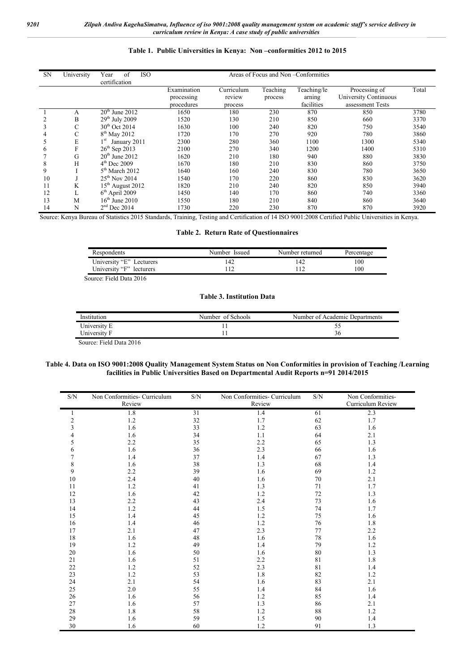#### **Table 1. Public Universities in Kenya: Non –conformities 2012 to 2015**

| <b>SN</b> | University | of<br>Year<br><b>ISO</b>        |                           |            |          |             | Areas of Focus and Non-Conformities |       |  |  |  |
|-----------|------------|---------------------------------|---------------------------|------------|----------|-------------|-------------------------------------|-------|--|--|--|
|           |            | certification                   |                           | Curriculum | Teaching | Teaching/le | Processing of                       | Total |  |  |  |
|           |            |                                 | Examination<br>processing | review     | process  | arning      | University Continuous               |       |  |  |  |
|           |            |                                 | procedures                | process    |          | facilities  | assessment Tests                    |       |  |  |  |
|           | А          | $20th$ June $2012$              | 1650                      | 180        | 230      | 870         | 850                                 | 3780  |  |  |  |
|           | B          | $29th$ July 2009                | 1520                      | 130        | 210      | 850         | 660                                 | 3370  |  |  |  |
| 3         | C          | $30th$ Oct 2014                 | 1630                      | 100        | 240      | 820         | 750                                 | 3540  |  |  |  |
| 4         | С          | $8th$ May 2012                  | 1720                      | 170        | 270      | 920         | 780                                 | 3860  |  |  |  |
|           | E          | 1 <sup>st</sup><br>January 2011 | 2300                      | 280        | 360      | 1100        | 1300                                | 5340  |  |  |  |
| 6         | F          | $26^{th}$ Sep 2013              | 2100                      | 270        | 340      | 1200        | 1400                                | 5310  |  |  |  |
|           | G          | $20th$ June 2012                | 1620                      | 210        | 180      | 940         | 880                                 | 3830  |  |  |  |
| 8         | H          | $4th$ Dec 2009                  | 1670                      | 180        | 210      | 830         | 860                                 | 3750  |  |  |  |
| 9         |            | $5th$ March 2012                | 1640                      | 160        | 240      | 830         | 780                                 | 3650  |  |  |  |
| 10        |            | $25^{th}$ Nov 2014              | 1540                      | 170        | 220      | 860         | 830                                 | 3620  |  |  |  |
| 11        | K          | $15th$ August 2012              | 1820                      | 210        | 240      | 820         | 850                                 | 3940  |  |  |  |
| 12        | L          | $6th$ April 2009                | 1450                      | 140        | 170      | 860         | 740                                 | 3360  |  |  |  |
| 13        | M          | $16^{\text{th}}$ June 2010      | 1550                      | 180        | 210      | 840         | 860                                 | 3640  |  |  |  |
| 14        | N          | $2nd$ Dec 2014                  | 1730                      | 220        | 230      | 870         | 870                                 | 3920  |  |  |  |

Source: Kenya Bureau of Statistics 2015 Standards, Training, Testing and Certification of 14 ISO 9001:2008 Certified Public Universities in Kenya.

#### **Table 2. Return Rate of Questionnaires**

| Respondents              | Number Issued | Number returned | Percentage |
|--------------------------|---------------|-----------------|------------|
| University "E" Lecturers | '42           | 142             | 100        |
| University "F" lecturers |               |                 | 100        |

Source: Field Data 2016

#### **Table 3. Institution Data**

| University E<br>ັ້<br>University F<br>36 | Institution | Number of Schools | Number of Academic Departments |
|------------------------------------------|-------------|-------------------|--------------------------------|
|                                          |             |                   |                                |
|                                          |             |                   |                                |

Source: Field Data 2016

### **Table 4. Data on ISO 9001:2008 Quality Management System Status on Non Conformities in provision of Teaching /Learning facilities in Public Universities Based on Departmental Audit Reports n=91 2014/2015**

| $\ensuremath{\mathrm{S/N}}$ | Non Conformities- Curriculum<br>Review | $\ensuremath{\mathrm{S/N}}$ | Non Conformities- Curriculum<br>Review | $\ensuremath{\mathrm{S/N}}$ | Non Conformities-<br>Curriculum Review |
|-----------------------------|----------------------------------------|-----------------------------|----------------------------------------|-----------------------------|----------------------------------------|
| 1                           | 1.8                                    | 31                          | 1.4                                    | 61                          | 2.3                                    |
| $\sqrt{2}$                  | 1.2                                    | 32                          | 1.7                                    | 62                          | 1.7                                    |
| 3                           | 1.6                                    | 33                          | 1.2                                    | 63                          | 1.6                                    |
| $\overline{\mathbf{4}}$     | 1.6                                    | 34                          | 1.1                                    | 64                          | 2.1                                    |
| 5                           | 2.2                                    | 35                          | 2.2                                    | 65                          | 1.3                                    |
| 6                           | 1.6                                    | 36                          | 2.3                                    | 66                          | 1.6                                    |
| $\overline{7}$              | 1.4                                    | 37                          | 1.4                                    | 67                          | 1.3                                    |
| 8                           | 1.6                                    | 38                          | 1.3                                    | 68                          | 1.4                                    |
| 9                           | 2.2                                    | 39                          | 1.6                                    | 69                          | 1.2                                    |
| 10                          | 2.4                                    | 40                          | 1.6                                    | 70                          | 2.1                                    |
| 11                          | 1.2                                    | 41                          | 1.3                                    | 71                          | 1.7                                    |
| 12                          | 1.6                                    | 42                          | 1.2                                    | 72                          | 1.3                                    |
| 13                          | 2.2                                    | 43                          | 2.4                                    | 73                          | 1.6                                    |
| 14                          | 1.2                                    | 44                          | 1.5                                    | 74                          | 1.7                                    |
| 15                          | 1.4                                    | 45                          | 1.2                                    | 75                          | 1.6                                    |
| 16                          | 1.4                                    | 46                          | 1.2                                    | 76                          | 1.8                                    |
| 17                          | 2.1                                    | 47                          | 2.3                                    | 77                          | 2.2                                    |
| 18                          | 1.6                                    | 48                          | 1.6                                    | 78                          | 1.6                                    |
| 19                          | 1.2                                    | 49                          | 1.4                                    | 79                          | 1.2                                    |
| 20                          | 1.6                                    | 50                          | 1.6                                    | 80                          | 1.3                                    |
| 21                          | 1.6                                    | 51                          | 2.2                                    | 81                          | 1.8                                    |
| 22                          | 1.2                                    | 52                          | 2.3                                    | 81                          | 1.4                                    |
| 23                          | 1.2                                    | 53                          | 1.8                                    | 82                          | 1.2                                    |
| 24                          | 2.1                                    | 54                          | 1.6                                    | 83                          | 2.1                                    |
| 25                          | 2.0                                    | 55                          | 1.4                                    | 84                          | 1.6                                    |
| 26                          | 1.6                                    | 56                          | 1.2                                    | 85                          | 1.4                                    |
| 27                          | 1.6                                    | 57                          | 1.3                                    | 86                          | 2.1                                    |
| 28                          | 1.8                                    | 58                          | 1.2                                    | 88                          | 1.2                                    |
| 29                          | 1.6                                    | 59                          | 1.5                                    | 90                          | 1.4                                    |
| 30                          | 1.6                                    | 60                          | 1.2                                    | 91                          | 1.3                                    |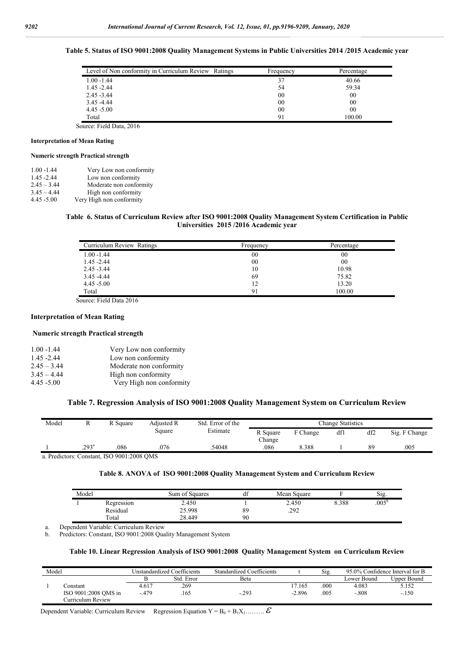| Level of Non conformity in Curriculum Review Ratings | Frequency      | Percentage     |
|------------------------------------------------------|----------------|----------------|
| 1.00 -1.44                                           | 37             | 40.66          |
| $1.45 - 2.44$                                        | 54             | 59.34          |
| $2.45 - 3.44$                                        | 00             | 00             |
| $3.45 - 4.44$                                        | 0 <sub>0</sub> | 0 <sup>0</sup> |
| $4.45 - 5.00$                                        | 00             | 00             |
| Total                                                | 91             | 100.00         |

### **Table 5. Status of ISO 9001:2008 Quality Management Systems in Public Universities 2014 /2015 Academic year**

Source: Field Data, 2016

#### **Interpretation of Mean Rating**

#### **Numeric strength Practical strength**

| $1.00 - 1.44$ | Very Low non conformity  |
|---------------|--------------------------|
| $1.45 - 2.44$ | Low non conformity       |
| $2.45 - 3.44$ | Moderate non conformity  |
| $3.45 - 4.44$ | High non conformity      |
| 4.45 -5.00    | Very High non conformity |

#### **Table 6. Status of Curriculum Review after ISO 9001:2008 Quality Management System Certification in Public Universities 2015 /2016 Academic year**

| Curriculum Review Ratings | Frequency | Percentage |
|---------------------------|-----------|------------|
| $1.00 - 1.44$             | 00        | 00         |
| $1.45 - 2.44$             | 00        | 00         |
| $2.45 - 3.44$             | 10        | 10.98      |
| $3.45 - 4.44$             | 69        | 75.82      |
| $4.45 - 5.00$             | 12        | 13.20      |
| Total                     | 91        | 100.00     |

Source: Field Data 2016

#### **Interpretation of Mean Rating**

#### **Numeric strength Practical strength**

| $1.00 - 1.44$ | Very Low non conformity  |
|---------------|--------------------------|
| $1.45 - 2.44$ | Low non conformity       |
| $2.45 - 3.44$ | Moderate non conformity  |
| $3.45 - 4.44$ | High non conformity      |
| $4.45 - 5.00$ | Very High non conformity |

#### **Table 7. Regression Analysis of ISO 9001:2008 Quality Management System on Curriculum Review**

| Model |                | R Square | Adjusted R | Std. Error of the |                    |          | Change Statistics |     |               |
|-------|----------------|----------|------------|-------------------|--------------------|----------|-------------------|-----|---------------|
|       |                |          | Square     | Estimate          | R Square<br>Change | F Change | dfl               | df2 | Sig. F Change |
|       | $.293^{\rm a}$ | 086      | .076       | .54048            | .086               | 8.388    |                   | 89  | .005          |

#### **Table 8. ANOVA of ISO 9001:2008 Quality Management System and Curriculum Review**

| Model |            | Sum of Squares | $\cdot$<br>uі | Mean Square |       | Sig.           |
|-------|------------|----------------|---------------|-------------|-------|----------------|
|       | Regression | 2.450          |               | 2.450       | 8.388 | $.005^{\circ}$ |
|       | Residual   | 25.998         | 89            | 292<br>274ء |       |                |
|       | Total      | 28.449         | 90            |             |       |                |

a. Dependent Variable: Curriculum Review

b. Predictors: Constant, ISO 9001:2008 Quality Management System

#### **Table 10. Linear Regression Analysis of ISO 9001:2008 Quality Management System on Curriculum Review**

| Model |                      | Unstandardized Coefficients |            | Standardized Coefficients |          | Sig. | 95.0% Confidence Interval for B |             |
|-------|----------------------|-----------------------------|------------|---------------------------|----------|------|---------------------------------|-------------|
|       |                      |                             | Std. Error | Beta                      |          |      | Lower Bound                     | Upper Bound |
|       | .`onstant            | 4.617                       | .269       |                           | 17.165   | .000 | 4.083                           | 5.152       |
|       | ISO 9001:2008 OMS in | $-479$                      | .165       | $-.293$                   | $-2.896$ | 005  | $-.808$                         | $-.150$     |
|       | Curriculum Review    |                             |            |                           |          |      |                                 |             |

Dependent Variable: Curriculum Review Regression Equation  $Y = B_0 + B_1 X_1$ ………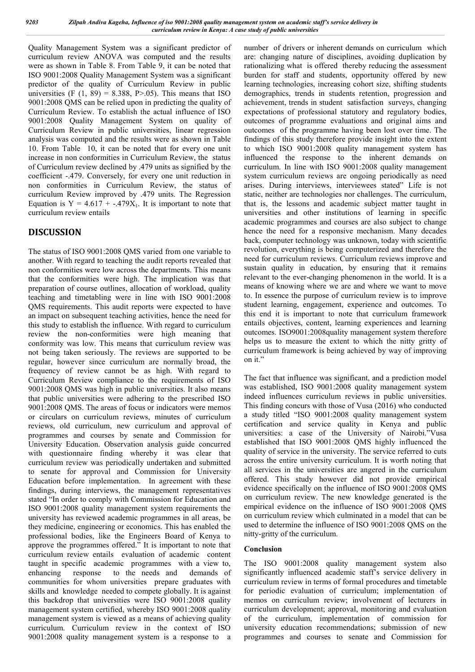Quality Management System was a significant predictor of curriculum review ANOVA was computed and the results were as shown in Table 8. From Table 9, it can be noted that ISO 9001:2008 Quality Management System was a significant predictor of the quality of Curriculum Review in public universities (F  $(1, 89) = 8.388$ , P>.05). This means that ISO 9001:2008 QMS can be relied upon in predicting the quality of Curriculum Review. To establish the actual influence of ISO 9001:2008 Quality Management System on quality of Curriculum Review in public universities, linear regression analysis was computed and the results were as shown in Table 10. From Table 10, it can be noted that for every one unit increase in non conformities in Curriculum Review, the status of Curriculum review declined by .479 units as signified by the coefficient -.479. Conversely, for every one unit reduction in non conformities in Curriculum Review, the status of curriculum Review improved by .479 units. The Regression Equation is  $Y = 4.617 + .479X_1$ . It is important to note that curriculum review entails

# **DISCUSSION**

The status of ISO 9001:2008 QMS varied from one variable to another. With regard to teaching the audit reports revealed that non conformities were low across the departments. This means that the conformities were high. The implication was that preparation of course outlines, allocation of workload, quality teaching and timetabling were in line with ISO 9001:2008 QMS requirements. This audit reports were expected to have an impact on subsequent teaching activities, hence the need for this study to establish the influence. With regard to curriculum review the non-conformities were high meaning that conformity was low. This means that curriculum review was not being taken seriously. The reviews are supported to be regular, however since curriculum are normally broad, the frequency of review cannot be as high. With regard to Curriculum Review compliance to the requirements of ISO 9001:2008 QMS was high in public universities. It also means that public universities were adhering to the prescribed ISO 9001:2008 QMS. The areas of focus or indicators were memos or circulars on curriculum reviews, minutes of curriculum reviews, old curriculum, new curriculum and approval of programmes and courses by senate and Commission for University Education. Observation analysis guide concurred with questionnaire finding whereby it was clear that curriculum review was periodically undertaken and submitted to senate for approval and Commission for University Education before implementation. In agreement with these findings, during interviews, the management representatives stated "In order to comply with Commission for Education and ISO 9001:2008 quality management system requirements the university has reviewed academic programmes in all areas, be they medicine, engineering or economics. This has enabled the professional bodies, like the Engineers Board of Kenya to approve the programmes offered." It is important to note that curriculum review entails evaluation of academic content taught in specific academic programmes with a view to, enhancing response to the needs and demands of communities for whom universities prepare graduates with skills and knowledge needed to compete globally. It is against this backdrop that universities were ISO 9001:2008 quality management system certified, whereby ISO 9001:2008 quality management system is viewed as a means of achieving quality curriculum. Curriculum review in the context of ISO 9001:2008 quality management system is a response to a

number of drivers or inherent demands on curriculum which are: changing nature of disciplines, avoiding duplication by rationalizing what is offered thereby reducing the assessment burden for staff and students, opportunity offered by new learning technologies, increasing cohort size, shifting students demographics, trends in students retention, progression and achievement, trends in student satisfaction surveys, changing expectations of professional statutory and regulatory bodies, outcomes of programme evaluations and original aims and outcomes of the programme having been lost over time. The findings of this study therefore provide insight into the extent to which ISO 9001:2008 quality management system has influenced the response to the inherent demands on curriculum. In line with ISO 9001:2008 quality management system curriculum reviews are ongoing periodically as need arises. During interviews, interviewees stated" Life is not static, neither are technologies nor challenges. The curriculum, that is, the lessons and academic subject matter taught in universities and other institutions of learning in specific academic programmes and courses are also subject to change hence the need for a responsive mechanism. Many decades back, computer technology was unknown, today with scientific revolution, everything is being computerized and therefore the need for curriculum reviews. Curriculum reviews improve and sustain quality in education, by ensuring that it remains relevant to the ever-changing phenomenon in the world. It is a means of knowing where we are and where we want to move to. In essence the purpose of curriculum review is to improve student learning, engagement, experience and outcomes. To this end it is important to note that curriculum framework entails objectives, content, learning experiences and learning outcomes. ISO9001:2008quality management system therefore helps us to measure the extent to which the nitty gritty of curriculum framework is being achieved by way of improving on it."

The fact that influence was significant, and a prediction model was established, ISO 9001:2008 quality management system indeed influences curriculum reviews in public universities. This finding concurs with those of Vusa (2016) who conducted a study titled "ISO 9001:2008 quality management system certification and service quality in Kenya and public universities: a case of the University of Nairobi."Vusa established that ISO 9001:2008 QMS highly influenced the quality of service in the university. The service referred to cuts across the entire university curriculum. It is worth noting that all services in the universities are angered in the curriculum offered. This study however did not provide empirical evidence specifically on the influence of ISO 9001:2008 QMS on curriculum review. The new knowledge generated is the empirical evidence on the influence of ISO 9001:2008 QMS on curriculum review which culminated in a model that can be used to determine the influence of ISO 9001:2008 QMS on the nitty-gritty of the curriculum.

## **Conclusion**

The ISO 9001:2008 quality management system also significantly influenced academic staff's service delivery in curriculum review in terms of formal procedures and timetable for periodic evaluation of curriculum; implementation of memos on curriculum review; involvement of lecturers in curriculum development; approval, monitoring and evaluation of the curriculum, implementation of commission for university education recommendations; submission of new programmes and courses to senate and Commission for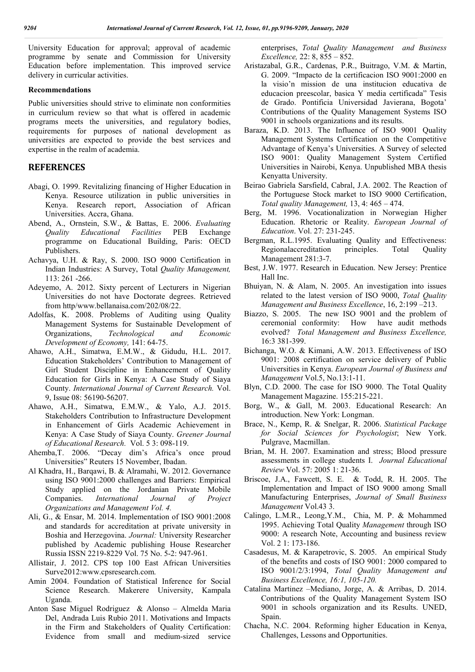University Education for approval; approval of academic programme by senate and Commission for University Education before implementation. This improved service delivery in curricular activities.

#### **Recommendations**

Public universities should strive to eliminate non conformities in curriculum review so that what is offered in academic programs meets the universities, and regulatory bodies, requirements for purposes of national development as universities are expected to provide the best services and expertise in the realm of academia.

# **REFERENCES**

- Abagi, O. 1999. Revitalizing financing of Higher Education in Kenya. Resource utilization in public universities in Kenya. Research report, Association of African Universities. Accra, Ghana.
- Abend, A., Ornstein, S.W., & Battas, E. 2006. *Evaluating Quality Educational Facilities* PEB Exchange programme on Educational Building, Paris: OECD Publishers.
- Achavya, U.H. & Ray, S. 2000. ISO 9000 Certification in Indian Industries: A Survey, Total *Quality Management,*  113: 261 -266.
- Adeyemo, A. 2012. Sixty percent of Lecturers in Nigerian Universities do not have Doctorate degrees. Retrieved from http/www.bellanaisa.com/202/08/22.
- Adolfas, K. 2008. Problems of Auditing using Quality Management Systems for Sustainable Development of Organizations, *Technological and Economic Development of Economy,* 141: 64-75.
- Ahawo, A.H., Simatwa, E.M.W., & Gidudu, H.L. 2017. Education Stakeholders' Contribution to Management of Girl Student Discipline in Enhancement of Quality Education for Girls in Kenya: A Case Study of Siaya County. *International Journal of Current Research.* Vol. 9, Issue 08: 56190-56207.
- Ahawo, A.H., Simatwa, E.M.W., & Yalo, A.J. 2015. Stakeholders Contribution to Infrastructure Development in Enhancement of Girls Academic Achievement in Kenya: A Case Study of Siaya County. *Greener Journal of Educational Research.* Vol. 5 3: 098-119.
- Ahemba,T. 2006. "Decay dim's Africa's once proud Universities" Reuters 15 November, Ibadan.
- Al Khadra, H., Barqawi, B. & Alramahi, W. 2012. Governance using ISO 9001:2000 challenges and Barriers: Empirical Study applied on the Jordanian Private Mobile Companies. *International Journal of Project Organizations and Management Vol. 4.*
- Ali, G., & Ensar, M. 2014. Implementation of ISO 9001:2008 and standards for accreditation at private university in Boshia and Herzegovina. *Journal:* University Researcher published by Academic publishing House Researcher Russia ISSN 2219-8229 Vol. 75 No. 5-2: 947-961.
- Allistair, J. 2012. CPS top 100 East African Universities Surve2012:www.cpsresearch.com.
- Amin 2004. Foundation of Statistical Inference for Social Science Research. Makerere University, Kampala Uganda.
- Anton Sase Miguel Rodriguez & Alonso Almelda Maria Del, Andrada Luis Rubio 2011. Motivations and Impacts in the Firm and Stakeholders of Quality Certification: Evidence from small and medium-sized service

enterprises, *Total Quality Management and Business Excellence,* 22: 8, 855 – 852.

- Aristazabal, G.R., Cardenas, P.R., Buitrago, V.M. & Martin, G. 2009. "Impacto de la certificacion ISO 9001:2000 en la visio'n mission de una institucion educativa de educacion preescolar, basica Y media certificada" Tesis de Grado. Pontificia Universidad Javierana, Bogota' Contributions of the Quality Management Systems ISO 9001 in schools organizations and its results.
- Baraza, K.D. 2013. The Influence of ISO 9001 Quality Management Systems Certification on the Competitive Advantage of Kenya's Universities. A Survey of selected ISO 9001: Quality Management System Certified Universities in Nairobi, Kenya. Unpublished MBA thesis Kenyatta University.
- Beirao Gabriela Sarsfield, Cabral, J.A. 2002. The Reaction of the Portuguese Stock market to ISO 9000 Certification, *Total quality Management,* 13, 4: 465 – 474.
- Berg, M. 1996. Vocationalization in Norwegian Higher Education. Rhetoric or Reality. *European Journal of Education*. Vol. 27: 231-245.
- Bergman, R.L.1995. Evaluating Quality and Effectiveness: Regionalaccreditation principles. Total Quality Management 281:3-7.
- Best, J.W. 1977. Research in Education. New Jersey: Prentice Hall Inc.
- Bhuiyan, N. & Alam, N. 2005. An investigation into issues related to the latest version of ISO 9000, *Total Quality Management and Business Excellence*, 16, 2:199 –213.
- Biazzo, S. 2005. The new ISO 9001 and the problem of ceremonial conformity: How have audit methods evolved? *Total Management and Business Excellence,*  16:3 381-399.
- Bichanga, W.O. & Kimani, A.W. 2013. Effectiveness of ISO 9001: 2008 certification on service delivery of Public Universities in Kenya. *European Journal of Business and Management* Vol.5, No.13:1-11.
- Blyn, C.D. 2000. The case for ISO 9000. The Total Quality Management Magazine. 155:215-221.
- Borg, W., & Gall, M. 2003. Educational Research: An introduction. New York: Longman.
- Brace, N., Kemp, R. & Snelgar, R. 2006. *Statistical Package for Social Sciences for Psychologist*; New York. Pulgrave, Macmillan.
- Brian, M. H. 2007. Examination and stress; Blood pressure assessments in college students I. *Journal Educational Review* Vol. 57: 2005 1: 21-36.
- Briscoe, J.A., Fawcett, S. E. & Todd, R. H. 2005. The Implementation and Impact of ISO 9000 among Small Manufacturing Enterprises, *Journal of Small Business Management* Vol.43 3.
- Calingo, L.M.R., Leong,Y.M., Chia, M. P. & Mohammed 1995. Achieving Total Quality *Management* through ISO 9000: A research Note, Accounting and business review Vol. 2 1: 173-186.
- Casadesus, M. & Karapetrovic, S. 2005. An empirical Study of the benefits and costs of ISO 9001: 2000 compared to ISO 9001/2/3:1994, *Total Quality Management and Business Excellence, 16:1, 105-120.*
- Catalina Martinez –Mediano, Jorge, A. & Arribas, D. 2014. Contributions of the Quality Management System ISO 9001 in schools organization and its Results. UNED, Spain.
- Chacha, N.C. 2004. Reforming higher Education in Kenya, Challenges, Lessons and Opportunities.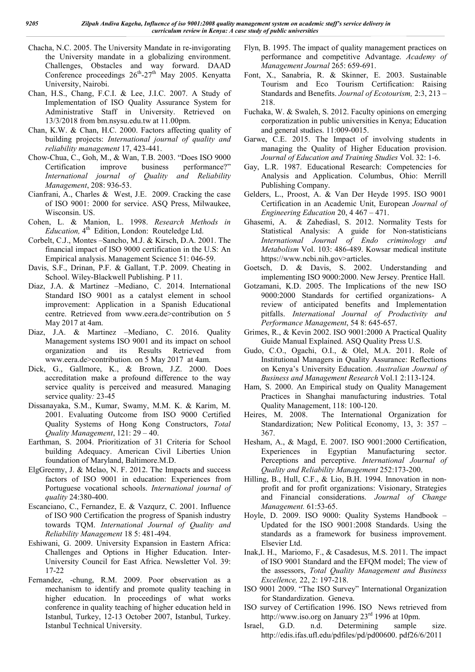- Chacha, N.C. 2005. The University Mandate in re-invigorating the University mandate in a globalizing environment. Challenges, Obstacles and way forward. DAAD Conference proceedings  $26^{\text{th}}$ -27<sup>th</sup> May 2005. Kenyatta University, Nairobi.
- Chan, H.S., Chang, F.C.I. & Lee, J.I.C. 2007. A Study of Implementation of ISO Quality Assurance System for Administrative Staff in University. Retrieved on 13/3/2018 from bm.nsysu.edu.tw at 11.00pm.
- Chan, K.W. & Chan, H.C. 2000. Factors affecting quality of building projects: *International journal of quality and reliability management* 17, 423-441.
- Chow-Chua, C., Goh, M., & Wan, T.B. 2003. "Does ISO 9000 Certification improve business performance?" *International journal of Quality and Reliability Management*, 208: 936-53.
- Cianfrani, A., Charles & West, J.E. 2009. Cracking the case of ISO 9001: 2000 for service. ASQ Press, Milwaukee, Wisconsin. US.
- Cohen, L. & Manion, L. 1998. *Research Methods in*  Education, 4<sup>th</sup> Edition, London: Routeledge Ltd.
- Corbelt, C.J., Montes –Sancho, M.J. & Kirsch, D.A. 2001. The financial impact of ISO 9000 certification in the U.S: An Empirical analysis. Management Science 51: 046-59.
- Davis, S.F., Drinan, P.F. & Gallant, T.P. 2009. Cheating in School. Wiley-Blackwell Publishing. P 11.
- Diaz, J.A. & Martinez –Mediano, C. 2014. International Standard ISO 9001 as a catalyst element in school improvement: Application in a Spanish Educational centre. Retrieved from www.eera.de>contribution on 5 May 2017 at 4am.
- Diaz, J.A. & Martinez –Mediano, C. 2016. Quality Management systems ISO 9001 and its impact on school organization and its Results Retrieved from www.eera.de>contribution. on 5 May 2017 at 4am.
- Dick, G., Gallmore, K., & Brown, J.Z. 2000. Does accreditation make a profound difference to the way service quality is perceived and measured*.* Managing service quality*:* 23-45
- Dissanayaka, S.M., Kumar, Swamy, M.M. K. & Karim, M. 2001. Evaluating Outcome from ISO 9000 Certified Quality Systems of Hong Kong Constructors, *Total Quality Management*, 121: 29 – 40.
- Earthman, S. 2004. Prioritization of 31 Criteria for School building Adequacy. American Civil Liberties Union foundation of Maryland, Baltimore.M.D.
- ElgGreemy, J. & Melao, N. F. 2012. The Impacts and success factors of ISO 9001 in education: Experiences from Portuguese vocational schools. *International journal of quality* 24:380-400.
- Escanciano, C., Fernandez, E. & Vazqurz, C. 2001. Influence of ISO 900 Certification the progress of Spanish industry towards TQM. *International Journal of Quality and Reliability Management* 18 5: 481-494.
- Eshiwani, G. 2009. University Expansion in Eastern Africa: Challenges and Options in Higher Education. Inter-University Council for East Africa. Newsletter Vol. 39: 17-22
- Fernandez, -chung, R.M. 2009. Poor observation as a mechanism to identify and promote quality teaching in higher education. In proceedings of what works conference in quality teaching of higher education held in Istanbul, Turkey, 12-13 October 2007, Istanbul, Turkey. Istanbul Technical University.
- Flyn, B. 1995. The impact of quality management practices on performance and competitive Advantage. *Academy of Management Journal* 265: 659-691.
- Font, X., Sanabria, R. & Skinner, E. 2003. Sustainable Tourism and Eco Tourism Certification: Raising Standards and Benefits. *Journal of Ecotourism,* 2:3, 213 – 218.
- Fuchaka, W. & Swaleh, S. 2012. Faculty opinions on emerging corporatization in public universities in Kenya; Education and general studies. 11:009-0015.
- Garwe, C.E. 2015. The Impact of involving students in managing the Quality of Higher Education provision. *Journal of Education and Training Studies* Vol. 32: 1-6.
- Gay, L.R. 1987. Educational Research: Competencies for Analysis and Application. Columbus, Ohio: Merrill Publishing Company.
- Gelders, L., Proost, A. & Van Der Heyde 1995. ISO 9001 Certification in an Academic Unit, European *Journal of Engineering Education* 20, 4 467 – 471.
- Ghasemi, A. & Zahediasl, S. 2012. Normality Tests for Statistical Analysis: A guide for Non-statisticians *International Journal of Endo criminology and Metabolism* Vol. 103: 486-489. Kowsar medical institute https://www.ncbi.nih.gov>articles.
- Goetsch, D. & Davis, S. 2002. Understanding and implementing ISO 9000:2000. New Jersey. Prentice Hall.
- Gotzamani, K.D. 2005. The Implications of the new ISO 9000:2000 Standards for certified organizations- A review of anticipated benefits and Implementation pitfalls. *International Journal of Productivity and Performance Management*, 54 8: 645-657.
- Grimes, R., & Kevin 2002. ISO 9001:2000 A Practical Quality Guide Manual Explained. ASQ Quality Press U.S.
- Gudo, C.O., Ogachi, O.I., & Olel, M.A. 2011. Role of Institutional Managers in Quality Assurance: Reflections on Kenya's University Education. *Australian Journal of Business and Management Research* Vol.1 2:113-124.
- Ham, S. 2000. An Empirical study on Quality Management Practices in Shanghai manufacturing industries. Total Quality Management, 118: 100-120.
- Heires, M. 2008. The International Organization for Standardization; New Political Economy, 13, 3: 357 – 367.
- Hesham, A., & Magd, E. 2007. ISO 9001:2000 Certification, Experiences in Egyptian Manufacturing sector. Perceptions and perceptive. *International Journal of Quality and Reliability Management* 252:173-200.
- Hilling, B., Hull, C.F., & Lio, B.H. 1994. Innovation in nonprofit and for profit organizations: Visionary, Strategies and Financial considerations. *Journal of Change Management.* 61:53-65.
- Hoyle, D. 2009. ISO 9000: Quality Systems Handbook Updated for the ISO 9001:2008 Standards. Using the standards as a framework for business improvement. Elsevier Ltd.
- Inak,I. H., Mariomo, F., & Casadesus, M.S. 2011. The impact of ISO 9001 Standard and the EFQM model; The view of the assessors, *Total Quality Management and Business Excellence,* 22, 2: 197-218.
- ISO 9001 2009. "The ISO Survey" International Organization for Standardization. Geneva.
- ISO survey of Certification 1996. ISO News retrieved from http://www.iso.org on January 23<sup>rd</sup> 1996 at 10pm.
- Israel, G.D. n.d. Determining sample size. http://edis.ifas.ufl.edu/pdfiles/pd/pd00600. pdf26/6/2011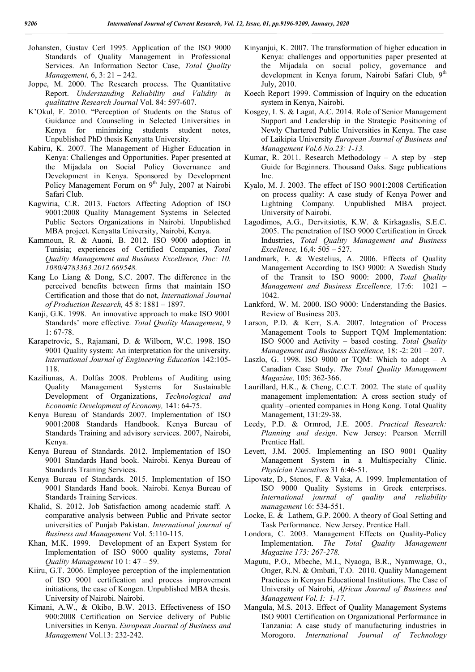- Johansten, Gustav Cerl 1995. Application of the ISO 9000 Standards of Quality Management in Professional Services. An Information Sector Case, *Total Quality Management,* 6, 3: 21 – 242.
- Joppe, M. 2000. The Research process. The Quantitative Report. *Understanding Reliability and Validity in qualitative Research Journal* Vol. 84: 597-607.
- K'Okul, F. 2010. "Perception of Students on the Status of Guidance and Counseling in Selected Universities in Kenya for minimizing students student notes, Unpublished PhD thesis Kenyatta University.
- Kabiru, K. 2007. The Management of Higher Education in Kenya: Challenges and Opportunities. Paper presented at the Mijadala on Social Policy Governance and Development in Kenya. Sponsored by Development Policy Management Forum on  $9<sup>th</sup>$  July, 2007 at Nairobi Safari Club.
- Kagwiria, C.R. 2013. Factors Affecting Adoption of ISO 9001:2008 Quality Management Systems in Selected Public Sectors Organizations in Nairobi. Unpublished MBA project. Kenyatta University, Nairobi, Kenya.
- Kammoun, R. & Auoni, B. 2012. ISO 9000 adoption in Tunisia; experiences of Certified Companies, *Total Quality Management and Business Excellence, Doc: 10. 1080/4783363.2012.669548.*
- Kang Lo Liang & Dong, S.C. 2007. The difference in the perceived benefits between firms that maintain ISO Certification and those that do not, *International Journal of Production Research,* 45 8: 1881 – 1897.
- Kanji, G.K. 1998. An innovative approach to make ISO 9001 Standards' more effective. *Total Quality Management*, 9 1: 67-78.
- Karapetrovic, S., Rajamani, D. & Wilborn, W.C. 1998. ISO 9001 Quality system: An interpretation for the university. *International Journal of Engineering Education* 142:105- 118.
- Kaziliunas, A. Dolfas 2008. Problems of Auditing using Quality Management Systems for Sustainable Development of Organizations, *Technological and Economic Development of Economy,* 141: 64-75.
- Kenya Bureau of Standards 2007. Implementation of ISO 9001:2008 Standards Handbook. Kenya Bureau of Standards Training and advisory services. 2007, Nairobi, Kenya.
- Kenya Bureau of Standards. 2012. Implementation of ISO 9001 Standards Hand book. Nairobi. Kenya Bureau of Standards Training Services.
- Kenya Bureau of Standards. 2015. Implementation of ISO 9001 Standards Hand book. Nairobi. Kenya Bureau of Standards Training Services.
- Khalid, S. 2012. Job Satisfaction among academic staff. A comparative analysis between Public and Private sector universities of Punjab Pakistan. *International journal of Business and Management* Vol. 5:110-115.
- Khan, M.K. 1999. Development of an Expert System for Implementation of ISO 9000 quality systems, *Total Quality Management* 10 1: 47 – 59.
- Kiiru, G.T. 2006. Employee perception of the implementation of ISO 9001 certification and process improvement initiations, the case of Kongen. Unpublished MBA thesis. University of Nairobi. Nairobi.
- Kimani, A.W., & Okibo, B.W. 2013. Effectiveness of ISO 900:2008 Certification on Service delivery of Public Universities in Kenya. *European Journal of Business and Management* Vol.13: 232-242.
- Kinyanjui, K. 2007. The transformation of higher education in Kenya: challenges and opportunities paper presented at the Mijadala on social policy, governance and development in Kenya forum, Nairobi Safari Club, 9<sup>th</sup> July, 2010.
- Koech Report 1999. Commission of Inquiry on the education system in Kenya, Nairobi.
- Kosgey, I. S. & Lagat, A.C. 2014. Role of Senior Management Support and Leadership in the Strategic Positioning of Newly Chartered Public Universities in Kenya. The case of Laikipia University *European Journal of Business and Management Vol.6 No.23: 1-13.*
- Kumar, R. 2011. Research Methodology A step by  $-$ step Guide for Beginners. Thousand Oaks. Sage publications Inc.
- Kyalo, M. J. 2003. The effect of ISO 9001:2008 Certification on process quality: A case study of Kenya Power and Lightning Company*.* Unpublished MBA project. University of Nairobi.
- Lagodimos, A.G., Dervitsiotis, K.W. & Kirkagaslis, S.E.C. 2005. The penetration of ISO 9000 Certification in Greek Industries, *Total Quality Management and Business Excellence,* 16,4: 505 – 527.
- Landmark, E. & Westelius, A. 2006. Effects of Quality Management According to ISO 9000: A Swedish Study of the Transit to ISO 9000: 2000, *Total Quality Management and Business Excellence,* 17:6: 1021 – 1042.
- Lankford, W. M. 2000. ISO 9000: Understanding the Basics. Review of Business 203.
- Larson, P.D. & Kerr, S.A. 2007. Integration of Process Management Tools to Support TQM Implementation: ISO 9000 and Activity – based costing. *Total Quality Management and Business Excellence,* 18: -2: 201 – 207.
- Laszlo, G. 1998. ISO 9000 or TQM: Which to adopt  $A$ Canadian Case Study. *The Total Quality Management Magazine,* 105: 362-366.
- Laurillard, H.K., & Cheng, C.C.T. 2002. The state of quality management implementation: A cross section study of quality –oriented companies in Hong Kong. Total Quality Management, 131:29-38.
- Leedy, P.D. & Ormrod, J.E. 2005. *Practical Research: Planning and design*. New Jersey: Pearson Merrill Prentice Hall.
- Levett, J.M. 2005. Implementing an ISO 9001 Quality Management System in a Multispecialty Clinic. *Physician Executives* 31 6:46-51.
- Lipovatz, D., Stenos, F. & Vaka, A. 1999. Implementation of ISO 9000 Quality Systems in Greek enterprises. *International journal of quality and reliability management* 16: 534-551.
- Locke, E. & Lathem, G.P. 2000. A theory of Goal Setting and Task Performance. New Jersey. Prentice Hall.
- Londora, C. 2003. Management Effects on Quality-Policy Implementation. *The Total Quality Management Magazine 173: 267-278.*
- Magutu, P.O., Mbeche, M.I., Nyaoga, B.R., Nyamwage, O., Onger, R.N. & Ombati, T.O. 2010. Quality Management Practices in Kenyan Educational Institutions. The Case of University of Nairobi, *African Journal of Business and Management Vol. I: 1-17.*
- Mangula, M.S. 2013. Effect of Quality Management Systems ISO 9001 Certification on Organizational Performance in Tanzania: A case study of manufacturing industries in Morogoro. *International Journal of Technology*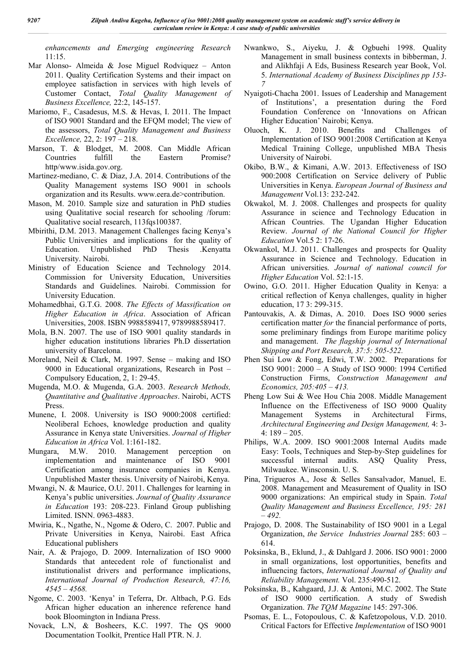*enhancements and Emerging engineering Research*  11:15.

- Mar Alonso- Almeida & Jose Miguel Rodviquez Anton 2011. Quality Certification Systems and their impact on employee satisfaction in services with high levels of Customer Contact, *Total Quality Management of Business Excellence,* 22:2, 145-157.
- Mariomo, F., Casadesus, M.S. & Hevas, I. 2011. The Impact of ISO 9001 Standard and the EFQM model; The view of the assessors, *Total Quality Management and Business Excellence,* 22, 2: 197 – 218.
- Marson, T. & Blodget, M. 2008. Can Middle African Countries fulfill the Eastern Promise? http/www.isida.gov.org.
- Martinez-mediano, C. & Diaz, J.A. 2014. Contributions of the Quality Management systems ISO 9001 in schools organization and its Results. www.eera.de>contribution.
- Mason, M. 2010. Sample size and saturation in PhD studies using Qualitative social research for schooling /forum: Qualitative social research, 113fqs100387.
- Mbirithi, D.M. 2013. Management Challenges facing Kenya's Public Universities and implications for the quality of Education. Unpublished PhD Thesis .Kenyatta University. Nairobi.
- Ministry of Education Science and Technology 2014. Commission for University Education, Universities Standards and Guidelines. Nairobi. Commission for University Education.
- Mohamedbhai, G.T.G. 2008. *The Effects of Massification on Higher Education in Africa*. Association of African Universities, 2008. ISBN 9988589417, 9789988589417.
- Mola, B.N. 2007. The use of ISO 9001 quality standards in higher education institutions libraries Ph.D dissertation university of Barcelona.
- Moreland, Neil & Clark, M. 1997. Sense making and ISO 9000 in Educational organizations, Research in Post – Compulsory Education, 2, 1: 29-45.
- Mugenda, M.O. & Mugenda, G.A. 2003. *Research Methods, Quantitative and Qualitative Approaches*. Nairobi, ACTS Press.
- Munene, I. 2008. University is ISO 9000:2008 certified: Neoliberal Echoes, knowledge production and quality Assurance in Kenya state Universities. *Journal of Higher Education in Africa* Vol. 1:161-182.
- Mungara, M.W. 2010. Management perception on implementation and maintenance of ISO 9001 Certification among insurance companies in Kenya. Unpublished Master thesis. University of Nairobi, Kenya.
- Mwangi, N. & Maurice, O.U. 2011. Challenges for learning in Kenya's public universities. *Journal of Quality Assurance in Education* 193: 208-223. Finland Group publishing Limited. ISNN. 0963-4883.
- Mwiria, K., Ngathe, N., Ngome & Odero, C. 2007. Public and Private Universities in Kenya, Nairobi. East Africa Educational publishers
- Nair, A. & Prajogo, D. 2009. Internalization of ISO 9000 Standards that antecedent role of functionalist and institutionalist drivers and performance implications, *International Journal of Production Research, 47:16, 4545 – 4568.*
- Ngome, C. 2003. 'Kenya' in Teferra, Dr. Altbach, P.G. Eds African higher education an inherence reference hand book Bloomington in Indiana Press.
- Novack, L.N, & Bosheers, K.C. 1997. The QS 9000 Documentation Toolkit, Prentice Hall PTR. N. J.
- Nwankwo, S., Aiyeku, J. & Ogbuehi 1998. Quality Management in small business contexts in bibberman, J. and Alikhfaji A Eds, Business Research year Book, Vol. 5. *International Academy of Business Disciplines pp 153- 7*
- Nyaigoti-Chacha 2001. Issues of Leadership and Management of Institutions', a presentation during the Ford Foundation Conference on 'Innovations on African Higher Education' Nairobi; Kenya.
- Oluoch, K. J. 2010. Benefits and Challenges of Implementation of ISO 9001:2008 Certification at Kenya Medical Training College, unpublished MBA Thesis University of Nairobi.
- Okibo, B.W., & Kimani, A.W. 2013. Effectiveness of ISO 900:2008 Certification on Service delivery of Public Universities in Kenya. *European Journal of Business and Management* Vol.13: 232-242.
- Okwakol, M. J. 2008. Challenges and prospects for quality Assurance in science and Technology Education in African Countries. The Ugandan Higher Education Review. *Journal of the National Council for Higher Education* Vol.5 2: 17-26.
- Okwankol, M.J. 2011. Challenges and prospects for Quality Assurance in Science and Technology. Education in African universities. *Journal of national council for Higher Education* Vol. 52:1-15.
- Owino, G.O. 2011. Higher Education Quality in Kenya: a critical reflection of Kenya challenges, quality in higher education, 17 3: 299-315.
- Pantouvakis, A. & Dimas, A. 2010. Does ISO 9000 series certification matter *for* the financial performance of ports, some preliminary findings from Europe maritime policy and management. *The flagship journal of International Shipping and Port Research, 37:5: 505-522.*
- Phen Sui Low & Fong, Edwi, T.W. 2002. Preparations for ISO 9001: 2000 – A Study of ISO 9000: 1994 Certified Construction Firms, *Construction Management and Economics, 205:405 – 413.*
- Pheng Low Sui & Wee Hou Chia 2008. Middle Management Influence on the Effectiveness of ISO 9000 Quality Management Systems in Architectural Firms, *Architectural Engineering and Design Management,* 4: 3- 4: 189 – 205.
- Philips, W.A. 2009. ISO 9001:2008 Internal Audits made Easy: Tools, Techniques and Step-by-Step guidelines for successful internal audits. ASQ Quality Press, Milwaukee. Winsconsin. U. S.
- Pina, Trigueros A., Jose & Selles Sansalvador, Manuel, E. 2008. Management and Measurement of Quality in ISO 9000 organizations: An empirical study in Spain. *Total Quality Management and Business Excellence, 195: 281 – 492.*
- Prajogo, D. 2008. The Sustainability of ISO 9001 in a Legal Organization, *the Service Industries Journal* 285: 603 – 614.
- Poksinska, B., Eklund, J., & Dahlgard J. 2006. ISO 9001: 2000 in small organizations, lost opportunities, benefits and influencing factors, *International Journal of Quality and Reliability Management.* Vol. 235:490-512.
- Poksinska, B., Kahgaard, J.J. & Antoni, M.C. 2002. The State of ISO 9000 certification. A study of Swedish Organization. *The TQM Magazine* 145: 297-306.
- Psomas, E. L., Fotopoulous, C. & Kafetzopolous, V.D. 2010. Critical Factors for Effective *Implementation* of ISO 9001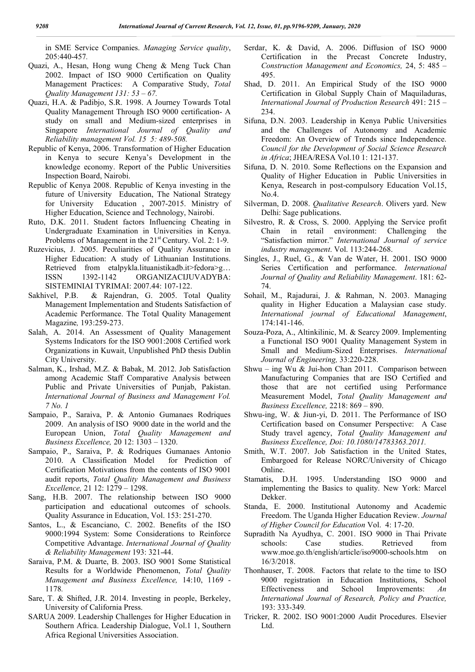in SME Service Companies. *Managing Service quality*, 205:440-457*.*

- Quazi, A., Hesan, Hong wung Cheng & Meng Tuck Chan 2002. Impact of ISO 9000 Certification on Quality Management Practices: A Comparative Study, *Total Quality Management 131: 53 – 67.*
- Quazi, H.A. & Padibjo, S.R. 1998. A Journey Towards Total Quality Management Through ISO 9000 certification- A study on small and Medium-sized enterprises in Singapore *International Journal of Quality and Reliability management Vol. 15 5: 489-508.*
- Republic of Kenya, 2006. Transformation of Higher Education in Kenya to secure Kenya's Development in the knowledge economy. Report of the Public Universities Inspection Board, Nairobi.
- Republic of Kenya 2008. Republic of Kenya investing in the future of University Education, The National Strategy for University Education , 2007-2015. Ministry of Higher Education, Science and Technology, Nairobi.
- Ruto, D.K. 2011. Student factors Influencing Cheating in Undergraduate Examination in Universities in Kenya. Problems of Management in the 21<sup>st</sup> Century. Vol. 2: 1-9.
- Ruzevicius, J. 2005. Peculiarities of Quality Assurance in Higher Education: A study of Lithuanian Institutions. Retrieved from etalpykla.lituanistikadb.it>fedora>g… ISSN 1392-1142 ORGANIZACIJUVADYBA: SISTEMINIAI TYRIMAI: 2007.44: 107-122.
- Sakhivel, P.B. & Rajendran, G. 2005. Total Quality Management Implementation and Students Satisfaction of Academic Performance. The Total Quality Management Magazine*,* 193:259-273.
- Salah, A. 2014. An Assessment of Quality Management Systems Indicators for the ISO 9001:2008 Certified work Organizations in Kuwait, Unpublished PhD thesis Dublin City University.
- Salman, K., Irshad, M.Z. & Babak, M. 2012. Job Satisfaction among Academic Staff Comparative Analysis between Public and Private Universities of Punjab, Pakistan. *International Journal of Business and Management Vol. 7 No. 1*
- Sampaio, P., Saraiva, P. & Antonio Gumanaes Rodriques 2009. An analysis of ISO 9000 date in the world and the European Union, *Total Quality Management and Business Excellence,* 20 12: 1303 – 1320.
- Sampaio, P., Saraiva, P. & Rodriques Gumanaes Antonio 2010. A Classification Model for Prediction of Certification Motivations from the contents of ISO 9001 audit reports, *Total Quality Management and Business Excellence,* 21 12: 1279 – 1298.
- Sang, H.B. 2007. The relationship between ISO 9000 participation and educational outcomes of schools. Quality Assurance in Education, Vol. 153: 251-270.
- Santos, L., & Escanciano, C. 2002. Benefits of the ISO 9000:1994 System: Some Considerations to Reinforce Competitive Advantage. *International Journal of Quality & Reliability Management* 193: 321-44.
- Saraiva, P.M. & Duarte, B. 2003. ISO 9001 Some Statistical Results for a Worldwide Phenomenon, *Total Quality Management and Business Excellence,* 14:10, 1169 - 1178*.*
- Sare, T. & Shifted, J.R. 2014. Investing in people, Berkeley, University of California Press.
- SARUA 2009. Leadership Challenges for Higher Education in Southern Africa. Leadership Dialogue, Vol.1 1, Southern Africa Regional Universities Association.
- Serdar, K. & David, A. 2006. Diffusion of ISO 9000 Certification in the Precast Concrete Industry, *Construction Management and Economics,* 24, 5: 485 – 495.
- Shad, D. 2011. An Empirical Study of the ISO 9000 Certification in Global Supply Chain of Maquiladuras, *International Journal of Production Research* 491: 215 – 234.
- Sifuna, D.N. 2003. Leadership in Kenya Public Universities and the Challenges of Autonomy and Academic Freedom: An Overview of Trends since Independence. *Council for the Development of Social Science Research in Africa*; JHEA/RESA Vol.10 1: 121-137.
- Sifuna, D. N. 2010. Some Reflections on the Expansion and Quality of Higher Education in Public Universities in Kenya, Research in post-compulsory Education Vol.15, No.4.
- Silverman, D. 2008. *Qualitative Research*. Olivers yard. New Delhi: Sage publications.
- Silvestro, R. & Cross, S. 2000. Applying the Service profit Chain in retail environment: Challenging the "Satisfaction mirror." *International Journal of service industry management*. Vol. 113:244-268.
- Singles, J., Ruel, G., & Van de Water, H. 2001. ISO 9000 Series Certification and performance. *International Journal of Quality and Reliability Management*. 181: 62- 74.
- Sohail, M., Rajadurai, J. & Rahman, N. 2003. Managing quality in Higher Education a Malaysian case study. *International journal of Educational Management*, 174:141-146.
- Souza-Poza, A., Altinkilinic, M. & Searcy 2009. Implementing a Functional ISO 9001 Quality Management System in Small and Medium-Sized Enterprises. *International Journal of Engineering,* 33:220-228.
- Shwu ing Wu & Jui-hon Chan 2011. Comparison between Manufacturing Companies that are ISO Certified and those that are not certified using Performance Measurement Model, *Total Quality Management and Business Excellence,* 2218: 869 – 890.
- Shwu-ing, W. & Jiun-yi, D. 2011. The Performance of ISO Certification based on Consumer Perspective: A Case Study travel agency, *Total Quality Management and Business Excellence, Doi: 10.1080/14783363.2011.*
- Smith, W.T. 2007. Job Satisfaction in the United States, Embargoed for Release NORC/University of Chicago Online.
- Stamatis, D.H. 1995. Understanding ISO 9000 and implementing the Basics to quality. New York: Marcel Dekker.
- Standa, E. 2000. Institutional Autonomy and Academic Freedom. The Uganda Higher Education Review. *Journal of Higher Council for Education* Vol. 4: 17-20.
- Supradith Na Ayudhya, C. 2001. ISO 9000 in Thai Private schools: Case studies. Retrieved from www.moe.go.th/english/article/iso9000-schools.htm on 16/3/2018.
- Thonhauser, T. 2008. Factors that relate to the time to ISO 9000 registration in Education Institutions, School Effectiveness and School Improvements: *An International Journal of Research, Policy and Practice,*  193: 333-349*.*
- Tricker, R. 2002. ISO 9001:2000 Audit Procedures. Elsevier Ltd.